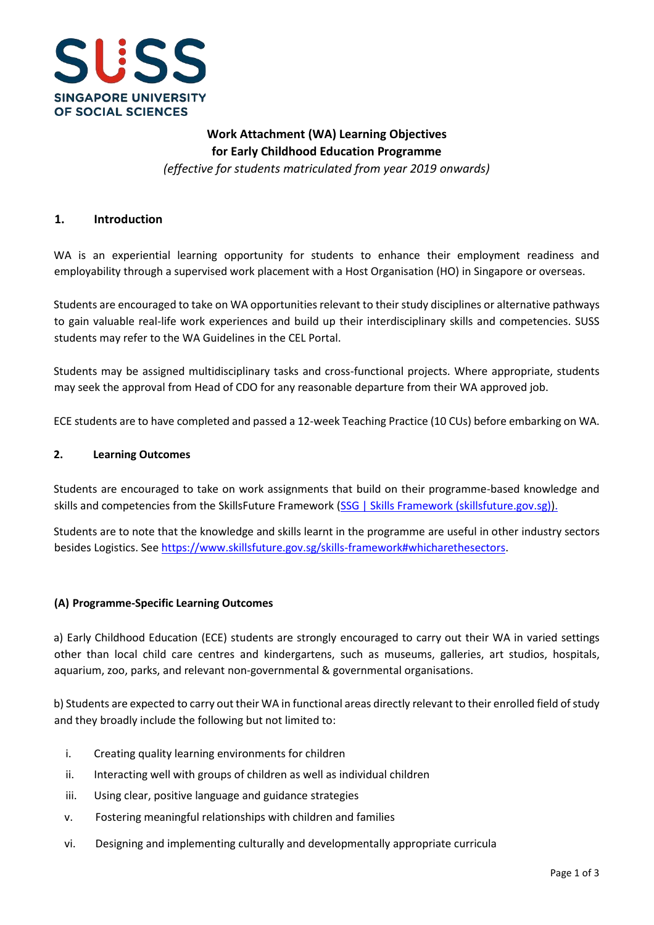

# **Work Attachment (WA) Learning Objectives for Early Childhood Education Programme**

*(effective for students matriculated from year 2019 onwards)*

### **1. Introduction**

WA is an experiential learning opportunity for students to enhance their employment readiness and employability through a supervised work placement with a Host Organisation (HO) in Singapore or overseas.

Students are encouraged to take on WA opportunities relevant to their study disciplines or alternative pathways to gain valuable real-life work experiences and build up their interdisciplinary skills and competencies. SUSS students may refer to the WA Guidelines in the CEL Portal.

Students may be assigned multidisciplinary tasks and cross-functional projects. Where appropriate, students may seek the approval from Head of CDO for any reasonable departure from their WA approved job.

ECE students are to have completed and passed a 12-week Teaching Practice (10 CUs) before embarking on WA.

#### **2. Learning Outcomes**

Students are encouraged to take on work assignments that build on their programme-based knowledge and skills and competencies from the SkillsFuture Framework [\(SSG | Skills Framework \(skillsfuture.gov.sg\)\).](https://www.skillsfuture.gov.sg/skills-framework)

Students are to note that the knowledge and skills learnt in the programme are useful in other industry sectors besides Logistics. See [https://www.skillsfuture.gov.sg/skills-framework#whicharethesectors.](https://www.skillsfuture.gov.sg/skills-framework#whicharethesectors)

#### **(A) Programme-Specific Learning Outcomes**

a) Early Childhood Education (ECE) students are strongly encouraged to carry out their WA in varied settings other than local child care centres and kindergartens, such as museums, galleries, art studios, hospitals, aquarium, zoo, parks, and relevant non-governmental & governmental organisations.

b) Students are expected to carry out their WA in functional areas directly relevant to their enrolled field of study and they broadly include the following but not limited to:

- i. Creating quality learning environments for children
- ii. Interacting well with groups of children as well as individual children
- iii. Using clear, positive language and guidance strategies
- v. Fostering meaningful relationships with children and families
- vi. Designing and implementing culturally and developmentally appropriate curricula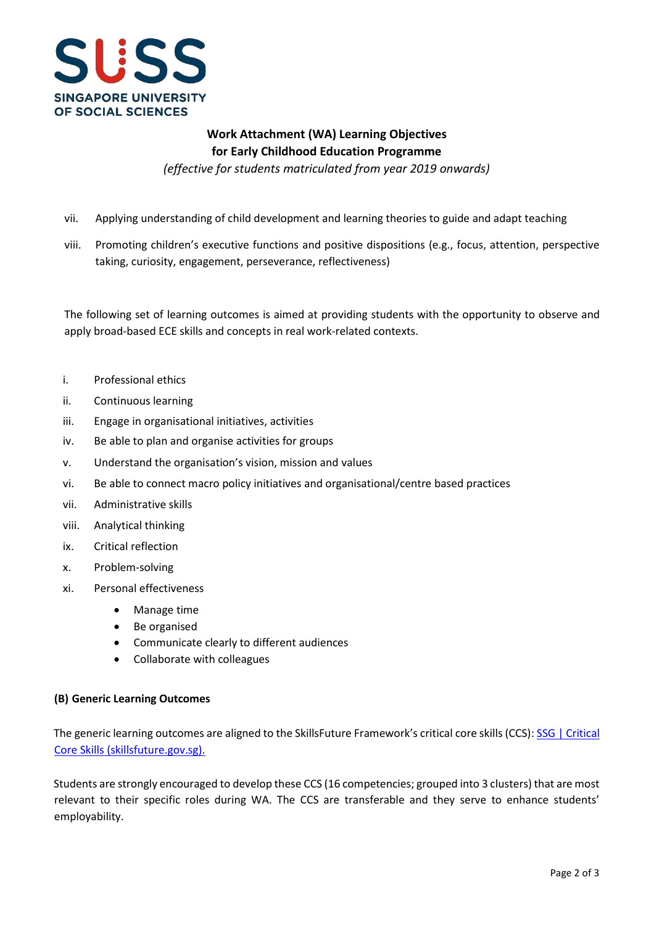

## **Work Attachment (WA) Learning Objectives for Early Childhood Education Programme**

*(effective for students matriculated from year 2019 onwards)*

- vii. Applying understanding of child development and learning theories to guide and adapt teaching
- viii. Promoting children's executive functions and positive dispositions (e.g., focus, attention, perspective taking, curiosity, engagement, perseverance, reflectiveness)

The following set of learning outcomes is aimed at providing students with the opportunity to observe and apply broad-based ECE skills and concepts in real work-related contexts.

- i. Professional ethics
- ii. Continuous learning
- iii. Engage in organisational initiatives, activities
- iv. Be able to plan and organise activities for groups
- v. Understand the organisation's vision, mission and values
- vi. Be able to connect macro policy initiatives and organisational/centre based practices
- vii. Administrative skills
- viii. Analytical thinking
- ix. Critical reflection
- x. Problem-solving
- xi. Personal effectiveness
	- Manage time
	- Be organised
	- Communicate clearly to different audiences
	- Collaborate with colleagues

#### **(B) Generic Learning Outcomes**

The generic learning outcomes are aligned to the SkillsFuture Framework's critical core skills (CCS)[: SSG | Critical](https://www.skillsfuture.gov.sg/skills-framework/criticalcoreskills) [Core Skills \(skillsfuture.gov.sg\).](https://www.skillsfuture.gov.sg/skills-framework/criticalcoreskills)

Students are strongly encouraged to develop these CCS (16 competencies; grouped into 3 clusters) that are most relevant to their specific roles during WA. The CCS are transferable and they serve to enhance students' employability.